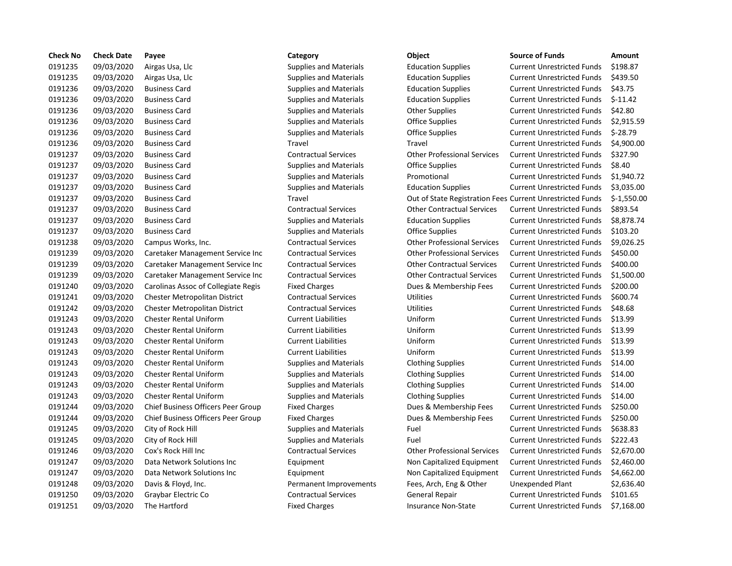| <b>Check No</b> | <b>Check Date</b> | Payee                               | Category                      | Object                                                    | <b>Source of Funds</b>            | Amount     |
|-----------------|-------------------|-------------------------------------|-------------------------------|-----------------------------------------------------------|-----------------------------------|------------|
| 0191235         | 09/03/2020        | Airgas Usa, Llc                     | <b>Supplies and Materials</b> | <b>Education Supplies</b>                                 | <b>Current Unrestricted Funds</b> | \$198.87   |
| 0191235         | 09/03/2020        | Airgas Usa, Llc                     | <b>Supplies and Materials</b> | <b>Education Supplies</b>                                 | <b>Current Unrestricted Funds</b> | \$439.50   |
| 0191236         | 09/03/2020        | <b>Business Card</b>                | <b>Supplies and Materials</b> | <b>Education Supplies</b>                                 | <b>Current Unrestricted Funds</b> | \$43.75    |
| 0191236         | 09/03/2020        | <b>Business Card</b>                | Supplies and Materials        | <b>Education Supplies</b>                                 | <b>Current Unrestricted Funds</b> | $$-11.42$  |
| 0191236         | 09/03/2020        | <b>Business Card</b>                | <b>Supplies and Materials</b> | <b>Other Supplies</b>                                     | <b>Current Unrestricted Funds</b> | \$42.80    |
| 0191236         | 09/03/2020        | <b>Business Card</b>                | <b>Supplies and Materials</b> | <b>Office Supplies</b>                                    | <b>Current Unrestricted Funds</b> | \$2,915.5  |
| 0191236         | 09/03/2020        | <b>Business Card</b>                | <b>Supplies and Materials</b> | Office Supplies                                           | <b>Current Unrestricted Funds</b> | $$-28.79$  |
| 0191236         | 09/03/2020        | <b>Business Card</b>                | Travel                        | Travel                                                    | <b>Current Unrestricted Funds</b> | \$4,900.0  |
| 0191237         | 09/03/2020        | <b>Business Card</b>                | <b>Contractual Services</b>   | <b>Other Professional Services</b>                        | <b>Current Unrestricted Funds</b> | \$327.90   |
| 0191237         | 09/03/2020        | <b>Business Card</b>                | <b>Supplies and Materials</b> | Office Supplies                                           | <b>Current Unrestricted Funds</b> | \$8.40     |
| 0191237         | 09/03/2020        | <b>Business Card</b>                | <b>Supplies and Materials</b> | Promotional                                               | <b>Current Unrestricted Funds</b> | \$1,940.7  |
| 0191237         | 09/03/2020        | <b>Business Card</b>                | <b>Supplies and Materials</b> | <b>Education Supplies</b>                                 | <b>Current Unrestricted Funds</b> | \$3,035.0  |
| 0191237         | 09/03/2020        | <b>Business Card</b>                | Travel                        | Out of State Registration Fees Current Unrestricted Funds |                                   | $$-1,550.$ |
| 0191237         | 09/03/2020        | <b>Business Card</b>                | <b>Contractual Services</b>   | <b>Other Contractual Services</b>                         | <b>Current Unrestricted Funds</b> | \$893.54   |
| 0191237         | 09/03/2020        | <b>Business Card</b>                | <b>Supplies and Materials</b> | <b>Education Supplies</b>                                 | <b>Current Unrestricted Funds</b> | \$8,878.7  |
| 0191237         | 09/03/2020        | <b>Business Card</b>                | <b>Supplies and Materials</b> | Office Supplies                                           | <b>Current Unrestricted Funds</b> | \$103.20   |
| 0191238         | 09/03/2020        | Campus Works, Inc.                  | <b>Contractual Services</b>   | <b>Other Professional Services</b>                        | <b>Current Unrestricted Funds</b> | \$9,026.2  |
| 0191239         | 09/03/2020        | Caretaker Management Service Inc    | <b>Contractual Services</b>   | <b>Other Professional Services</b>                        | <b>Current Unrestricted Funds</b> | \$450.00   |
| 0191239         | 09/03/2020        | Caretaker Management Service Inc    | <b>Contractual Services</b>   | <b>Other Contractual Services</b>                         | <b>Current Unrestricted Funds</b> | \$400.00   |
| 0191239         | 09/03/2020        | Caretaker Management Service Inc    | <b>Contractual Services</b>   | <b>Other Contractual Services</b>                         | <b>Current Unrestricted Funds</b> | \$1,500.0  |
| 0191240         | 09/03/2020        | Carolinas Assoc of Collegiate Regis | <b>Fixed Charges</b>          | Dues & Membership Fees                                    | <b>Current Unrestricted Funds</b> | \$200.00   |
| 0191241         | 09/03/2020        | Chester Metropolitan District       | <b>Contractual Services</b>   | Utilities                                                 | <b>Current Unrestricted Funds</b> | \$600.74   |
| 0191242         | 09/03/2020        | Chester Metropolitan District       | <b>Contractual Services</b>   | <b>Utilities</b>                                          | <b>Current Unrestricted Funds</b> | \$48.68    |
| 0191243         | 09/03/2020        | <b>Chester Rental Uniform</b>       | <b>Current Liabilities</b>    | Uniform                                                   | <b>Current Unrestricted Funds</b> | \$13.99    |
| 0191243         | 09/03/2020        | <b>Chester Rental Uniform</b>       | <b>Current Liabilities</b>    | Uniform                                                   | <b>Current Unrestricted Funds</b> | \$13.99    |
| 0191243         | 09/03/2020        | <b>Chester Rental Uniform</b>       | <b>Current Liabilities</b>    | Uniform                                                   | <b>Current Unrestricted Funds</b> | \$13.99    |
| 0191243         | 09/03/2020        | <b>Chester Rental Uniform</b>       | <b>Current Liabilities</b>    | Uniform                                                   | <b>Current Unrestricted Funds</b> | \$13.99    |
| 0191243         | 09/03/2020        | <b>Chester Rental Uniform</b>       | <b>Supplies and Materials</b> | <b>Clothing Supplies</b>                                  | <b>Current Unrestricted Funds</b> | \$14.00    |
| 0191243         | 09/03/2020        | <b>Chester Rental Uniform</b>       | <b>Supplies and Materials</b> | <b>Clothing Supplies</b>                                  | <b>Current Unrestricted Funds</b> | \$14.00    |
| 0191243         | 09/03/2020        | <b>Chester Rental Uniform</b>       | <b>Supplies and Materials</b> | <b>Clothing Supplies</b>                                  | <b>Current Unrestricted Funds</b> | \$14.00    |
| 0191243         | 09/03/2020        | <b>Chester Rental Uniform</b>       | <b>Supplies and Materials</b> | <b>Clothing Supplies</b>                                  | <b>Current Unrestricted Funds</b> | \$14.00    |
| 0191244         | 09/03/2020        | Chief Business Officers Peer Group  | <b>Fixed Charges</b>          | Dues & Membership Fees                                    | <b>Current Unrestricted Funds</b> | \$250.00   |
| 0191244         | 09/03/2020        | Chief Business Officers Peer Group  | <b>Fixed Charges</b>          | Dues & Membership Fees                                    | <b>Current Unrestricted Funds</b> | \$250.00   |
| 0191245         | 09/03/2020        | City of Rock Hill                   | <b>Supplies and Materials</b> | Fuel                                                      | <b>Current Unrestricted Funds</b> | \$638.83   |
| 0191245         | 09/03/2020        | City of Rock Hill                   | <b>Supplies and Materials</b> | Fuel                                                      | <b>Current Unrestricted Funds</b> | \$222.43   |
| 0191246         | 09/03/2020        | Cox's Rock Hill Inc                 | <b>Contractual Services</b>   | <b>Other Professional Services</b>                        | <b>Current Unrestricted Funds</b> | \$2,670.0  |
| 0191247         | 09/03/2020        | Data Network Solutions Inc          | Equipment                     | Non Capitalized Equipment                                 | <b>Current Unrestricted Funds</b> | \$2,460.0  |
| 0191247         | 09/03/2020        | Data Network Solutions Inc          | Equipment                     | Non Capitalized Equipment                                 | <b>Current Unrestricted Funds</b> | \$4,662.0  |
| 0191248         | 09/03/2020        | Davis & Floyd, Inc.                 | Permanent Improvements        | Fees, Arch, Eng & Other                                   | Unexpended Plant                  | \$2,636.4  |
| 0191250         | 09/03/2020        | Graybar Electric Co                 | <b>Contractual Services</b>   | General Repair                                            | <b>Current Unrestricted Funds</b> | \$101.65   |
| 0191251         | 09/03/2020        | The Hartford                        | <b>Fixed Charges</b>          | <b>Insurance Non-State</b>                                | <b>Current Unrestricted Funds</b> | \$7,168.0  |

| Category                      | Object                                                    | Source of Funds                   | Amount       |
|-------------------------------|-----------------------------------------------------------|-----------------------------------|--------------|
| <b>Supplies and Materials</b> | <b>Education Supplies</b>                                 | <b>Current Unrestricted Funds</b> | \$198.87     |
| <b>Supplies and Materials</b> | <b>Education Supplies</b>                                 | <b>Current Unrestricted Funds</b> | \$439.50     |
| <b>Supplies and Materials</b> | <b>Education Supplies</b>                                 | <b>Current Unrestricted Funds</b> | \$43.75      |
| <b>Supplies and Materials</b> | <b>Education Supplies</b>                                 | <b>Current Unrestricted Funds</b> | $S-11.42$    |
| <b>Supplies and Materials</b> | <b>Other Supplies</b>                                     | <b>Current Unrestricted Funds</b> | \$42.80      |
| <b>Supplies and Materials</b> | <b>Office Supplies</b>                                    | <b>Current Unrestricted Funds</b> | \$2,915.59   |
| <b>Supplies and Materials</b> | <b>Office Supplies</b>                                    | <b>Current Unrestricted Funds</b> | $$-28.79$    |
| Travel                        | Travel                                                    | <b>Current Unrestricted Funds</b> | \$4,900.00   |
| <b>Contractual Services</b>   | <b>Other Professional Services</b>                        | <b>Current Unrestricted Funds</b> | \$327.90     |
| <b>Supplies and Materials</b> | <b>Office Supplies</b>                                    | <b>Current Unrestricted Funds</b> | \$8.40       |
| <b>Supplies and Materials</b> | Promotional                                               | <b>Current Unrestricted Funds</b> | \$1,940.72   |
| <b>Supplies and Materials</b> | <b>Education Supplies</b>                                 | <b>Current Unrestricted Funds</b> | \$3,035.00   |
| Travel                        | Out of State Registration Fees Current Unrestricted Funds |                                   | $$-1,550.00$ |
| <b>Contractual Services</b>   | <b>Other Contractual Services</b>                         | <b>Current Unrestricted Funds</b> | \$893.54     |
| <b>Supplies and Materials</b> | <b>Education Supplies</b>                                 | <b>Current Unrestricted Funds</b> | \$8,878.74   |
| <b>Supplies and Materials</b> | <b>Office Supplies</b>                                    | <b>Current Unrestricted Funds</b> | \$103.20     |
| <b>Contractual Services</b>   | <b>Other Professional Services</b>                        | <b>Current Unrestricted Funds</b> | \$9,026.25   |
| <b>Contractual Services</b>   | <b>Other Professional Services</b>                        | <b>Current Unrestricted Funds</b> | \$450.00     |
| <b>Contractual Services</b>   | <b>Other Contractual Services</b>                         | <b>Current Unrestricted Funds</b> | \$400.00     |
| <b>Contractual Services</b>   | <b>Other Contractual Services</b>                         | <b>Current Unrestricted Funds</b> | \$1,500.00   |
| <b>Fixed Charges</b>          | Dues & Membership Fees                                    | <b>Current Unrestricted Funds</b> | \$200.00     |
| <b>Contractual Services</b>   | Utilities                                                 | <b>Current Unrestricted Funds</b> | \$600.74     |
| <b>Contractual Services</b>   | <b>Utilities</b>                                          | <b>Current Unrestricted Funds</b> | \$48.68      |
| <b>Current Liabilities</b>    | Uniform                                                   | <b>Current Unrestricted Funds</b> | \$13.99      |
| <b>Current Liabilities</b>    | Uniform                                                   | <b>Current Unrestricted Funds</b> | \$13.99      |
| <b>Current Liabilities</b>    | Uniform                                                   | <b>Current Unrestricted Funds</b> | \$13.99      |
| <b>Current Liabilities</b>    | Uniform                                                   | <b>Current Unrestricted Funds</b> | \$13.99      |
| <b>Supplies and Materials</b> | <b>Clothing Supplies</b>                                  | <b>Current Unrestricted Funds</b> | \$14.00      |
| <b>Supplies and Materials</b> | <b>Clothing Supplies</b>                                  | <b>Current Unrestricted Funds</b> | \$14.00      |
| <b>Supplies and Materials</b> | <b>Clothing Supplies</b>                                  | <b>Current Unrestricted Funds</b> | \$14.00      |
| <b>Supplies and Materials</b> | <b>Clothing Supplies</b>                                  | <b>Current Unrestricted Funds</b> | \$14.00      |
| <b>Fixed Charges</b>          | Dues & Membership Fees                                    | <b>Current Unrestricted Funds</b> | \$250.00     |
| <b>Fixed Charges</b>          | Dues & Membership Fees                                    | <b>Current Unrestricted Funds</b> | \$250.00     |
| <b>Supplies and Materials</b> | Fuel                                                      | <b>Current Unrestricted Funds</b> | \$638.83     |
| <b>Supplies and Materials</b> | Fuel                                                      | <b>Current Unrestricted Funds</b> | \$222.43     |
| <b>Contractual Services</b>   | <b>Other Professional Services</b>                        | <b>Current Unrestricted Funds</b> | \$2,670.00   |
| Equipment                     | Non Capitalized Equipment                                 | <b>Current Unrestricted Funds</b> | \$2,460.00   |
| Equipment                     | Non Capitalized Equipment                                 | <b>Current Unrestricted Funds</b> | \$4,662.00   |
| Permanent Improvements        | Fees, Arch, Eng & Other                                   | <b>Unexpended Plant</b>           | \$2,636.40   |
| <b>Contractual Services</b>   | <b>General Repair</b>                                     | <b>Current Unrestricted Funds</b> | \$101.65     |
| <b>Fixed Charges</b>          | <b>Insurance Non-State</b>                                | <b>Current Unrestricted Funds</b> | \$7.168.00   |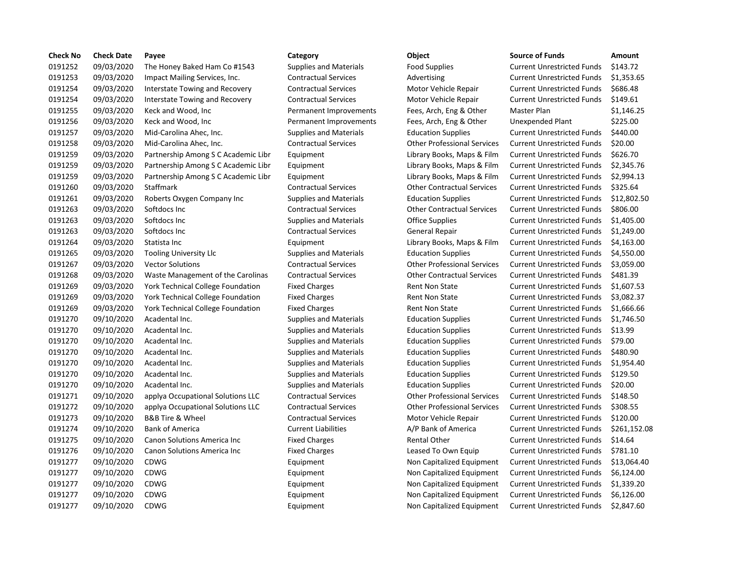| <b>Check No</b> | <b>Check Date</b> | Payee                                    | Category                      | Object                             | <b>Source of Funds</b>            | Amount    |
|-----------------|-------------------|------------------------------------------|-------------------------------|------------------------------------|-----------------------------------|-----------|
| 0191252         | 09/03/2020        | The Honey Baked Ham Co #1543             | <b>Supplies and Materials</b> | <b>Food Supplies</b>               | <b>Current Unrestricted Funds</b> | \$143.72  |
| 0191253         | 09/03/2020        | Impact Mailing Services, Inc.            | <b>Contractual Services</b>   | Advertising                        | <b>Current Unrestricted Funds</b> | \$1,353.6 |
| 0191254         | 09/03/2020        | Interstate Towing and Recovery           | <b>Contractual Services</b>   | Motor Vehicle Repair               | <b>Current Unrestricted Funds</b> | \$686.48  |
| 0191254         | 09/03/2020        | Interstate Towing and Recovery           | <b>Contractual Services</b>   | Motor Vehicle Repair               | <b>Current Unrestricted Funds</b> | \$149.61  |
| 0191255         | 09/03/2020        | Keck and Wood, Inc                       | Permanent Improvements        | Fees, Arch, Eng & Other            | Master Plan                       | \$1,146.2 |
| 0191256         | 09/03/2020        | Keck and Wood, Inc                       | Permanent Improvements        | Fees, Arch, Eng & Other            | Unexpended Plant                  | \$225.00  |
| 0191257         | 09/03/2020        | Mid-Carolina Ahec, Inc.                  | Supplies and Materials        | <b>Education Supplies</b>          | <b>Current Unrestricted Funds</b> | \$440.00  |
| 0191258         | 09/03/2020        | Mid-Carolina Ahec, Inc.                  | <b>Contractual Services</b>   | <b>Other Professional Services</b> | <b>Current Unrestricted Funds</b> | \$20.00   |
| 0191259         | 09/03/2020        | Partnership Among S C Academic Libr      | Equipment                     | Library Books, Maps & Film         | <b>Current Unrestricted Funds</b> | \$626.70  |
| 0191259         | 09/03/2020        | Partnership Among S C Academic Libr      | Equipment                     | Library Books, Maps & Film         | <b>Current Unrestricted Funds</b> | \$2,345.7 |
| 0191259         | 09/03/2020        | Partnership Among S C Academic Libr      | Equipment                     | Library Books, Maps & Film         | <b>Current Unrestricted Funds</b> | \$2,994.1 |
| 0191260         | 09/03/2020        | Staffmark                                | <b>Contractual Services</b>   | <b>Other Contractual Services</b>  | <b>Current Unrestricted Funds</b> | \$325.64  |
| 0191261         | 09/03/2020        | Roberts Oxygen Company Inc               | Supplies and Materials        | <b>Education Supplies</b>          | <b>Current Unrestricted Funds</b> | \$12,802  |
| 0191263         | 09/03/2020        | Softdocs Inc                             | <b>Contractual Services</b>   | <b>Other Contractual Services</b>  | <b>Current Unrestricted Funds</b> | \$806.00  |
| 0191263         | 09/03/2020        | Softdocs Inc                             | <b>Supplies and Materials</b> | <b>Office Supplies</b>             | <b>Current Unrestricted Funds</b> | \$1,405.0 |
| 0191263         | 09/03/2020        | Softdocs Inc                             | <b>Contractual Services</b>   | General Repair                     | <b>Current Unrestricted Funds</b> | \$1,249.0 |
| 0191264         | 09/03/2020        | Statista Inc                             | Equipment                     | Library Books, Maps & Film         | <b>Current Unrestricted Funds</b> | \$4,163.0 |
| 0191265         | 09/03/2020        | <b>Tooling University Llc</b>            | <b>Supplies and Materials</b> | <b>Education Supplies</b>          | <b>Current Unrestricted Funds</b> | \$4,550.0 |
| 0191267         | 09/03/2020        | <b>Vector Solutions</b>                  | <b>Contractual Services</b>   | <b>Other Professional Services</b> | <b>Current Unrestricted Funds</b> | \$3,059.0 |
| 0191268         | 09/03/2020        | Waste Management of the Carolinas        | <b>Contractual Services</b>   | <b>Other Contractual Services</b>  | <b>Current Unrestricted Funds</b> | \$481.39  |
| 0191269         | 09/03/2020        | <b>York Technical College Foundation</b> | <b>Fixed Charges</b>          | <b>Rent Non State</b>              | <b>Current Unrestricted Funds</b> | \$1,607.5 |
| 0191269         | 09/03/2020        | <b>York Technical College Foundation</b> | <b>Fixed Charges</b>          | <b>Rent Non State</b>              | <b>Current Unrestricted Funds</b> | \$3,082.3 |
| 0191269         | 09/03/2020        | <b>York Technical College Foundation</b> | <b>Fixed Charges</b>          | Rent Non State                     | <b>Current Unrestricted Funds</b> | \$1,666.6 |
| 0191270         | 09/10/2020        | Acadental Inc.                           | <b>Supplies and Materials</b> | <b>Education Supplies</b>          | <b>Current Unrestricted Funds</b> | \$1,746.5 |
| 0191270         | 09/10/2020        | Acadental Inc.                           | <b>Supplies and Materials</b> | <b>Education Supplies</b>          | <b>Current Unrestricted Funds</b> | \$13.99   |
| 0191270         | 09/10/2020        | Acadental Inc.                           | <b>Supplies and Materials</b> | <b>Education Supplies</b>          | <b>Current Unrestricted Funds</b> | \$79.00   |
| 0191270         | 09/10/2020        | Acadental Inc.                           | <b>Supplies and Materials</b> | <b>Education Supplies</b>          | <b>Current Unrestricted Funds</b> | \$480.90  |
| 0191270         | 09/10/2020        | Acadental Inc.                           | Supplies and Materials        | <b>Education Supplies</b>          | <b>Current Unrestricted Funds</b> | \$1,954.4 |
| 0191270         | 09/10/2020        | Acadental Inc.                           | <b>Supplies and Materials</b> | <b>Education Supplies</b>          | <b>Current Unrestricted Funds</b> | \$129.50  |
| 0191270         | 09/10/2020        | Acadental Inc.                           | <b>Supplies and Materials</b> | <b>Education Supplies</b>          | <b>Current Unrestricted Funds</b> | \$20.00   |
| 0191271         | 09/10/2020        | applya Occupational Solutions LLC        | <b>Contractual Services</b>   | <b>Other Professional Services</b> | <b>Current Unrestricted Funds</b> | \$148.50  |
| 0191272         | 09/10/2020        | applya Occupational Solutions LLC        | <b>Contractual Services</b>   | <b>Other Professional Services</b> | <b>Current Unrestricted Funds</b> | \$308.55  |
| 0191273         | 09/10/2020        | <b>B&amp;B Tire &amp; Wheel</b>          | <b>Contractual Services</b>   | Motor Vehicle Repair               | <b>Current Unrestricted Funds</b> | \$120.00  |
| 0191274         | 09/10/2020        | <b>Bank of America</b>                   | <b>Current Liabilities</b>    | A/P Bank of America                | <b>Current Unrestricted Funds</b> | \$261,15  |
| 0191275         | 09/10/2020        | Canon Solutions America Inc              | <b>Fixed Charges</b>          | <b>Rental Other</b>                | <b>Current Unrestricted Funds</b> | \$14.64   |
| 0191276         | 09/10/2020        | Canon Solutions America Inc              | <b>Fixed Charges</b>          | Leased To Own Equip                | <b>Current Unrestricted Funds</b> | \$781.10  |
| 0191277         | 09/10/2020        | <b>CDWG</b>                              | Equipment                     | Non Capitalized Equipment          | <b>Current Unrestricted Funds</b> | \$13,064  |
| 0191277         | 09/10/2020        | <b>CDWG</b>                              | Equipment                     | Non Capitalized Equipment          | <b>Current Unrestricted Funds</b> | \$6,124.0 |
| 0191277         | 09/10/2020        | <b>CDWG</b>                              | Equipment                     | Non Capitalized Equipment          | <b>Current Unrestricted Funds</b> | \$1,339.2 |
| 0191277         | 09/10/2020        | CDWG                                     | Equipment                     | Non Capitalized Equipment          | <b>Current Unrestricted Funds</b> | \$6,126.0 |
| 0191277         | 09/10/2020        | <b>CDWG</b>                              | Equipment                     | Non Capitalized Equipment          | <b>Current Unrestricted Funds</b> | \$2,847.6 |

# 0191252 09/03/2020 The Honey Baked Ham Co #1543 Supplies and Materials Food Supplies Current Unrestricted Funds \$143.72 0191253 09/03/2020 Impact Mailing Services, Inc. Contractual Services Advertising Current Unrestricted Funds \$1,353.65 0191254 09/03/2020 Interstate Towing and Recovery Contractual Services Motor Vehicle Repair Current Unrestricted Funds \$686.48 0191254 09/03/2020 Interstate Towing and Recovery Contractual Services Motor Vehicle Repair Current Unrestricted Funds \$149.61 Permanent Improvements Fees, Arch, Eng & Other Master Plan \$1,146.25 Permanent Improvements Fees, Arch, Eng & Other Unexpended Plant \$225.00 0191257 09/03/2020 Mid-Carolina Ahec, Inc. Supplies and Materials Education Supplies Current Unrestricted Funds \$440.00 0191258 09/03/2020 Mid-Carolina Ahec, Inc. Contractual Services Other Professional Services Current Unrestricted Funds \$20.00 Equipment **Equipment** Library Books, Maps & Film Current Unrestricted Funds \$626.70 Equipment **Example 2 Library Books, Maps & Film Current Unrestricted Funds \$2,345.76** Equipment **Example 2 C Among S C Academic Equipment** Library Books, Maps & Film Current Unrestricted Funds \$2,994.13 0191260 09/03/2020 Staffmark Contractual Services Other Contractual Services Current Unrestricted Funds \$325.64 0191261 09/03/2020 Roberts Oxygen Company Inc Supplies and Materials Education Supplies Current Unrestricted Funds \$12,802.50 0191263 09/03/2020 Softdocs Inc Contractual Services Other Contractual Services Current Unrestricted Funds \$806.00 Supplies and Materials **Office Supplies Current Unrestricted Funds** \$1,405.00 Contractual Services **69.1249.00** General Repair **Current Unrestricted Funds** \$1,249.00 Equipment Library Books, Maps & Film Current Unrestricted Funds \$4,163.00 0191265 09/03/2020 Tooling University Llc Supplies and Materials Education Supplies Current Unrestricted Funds \$4,550.00 0191267 09/03/2020 Vector Solutions Contractual Services Other Professional Services Current Unrestricted Funds \$3,059.00 0191268 09/03/2020 Waste Management of the Carolinas Contractual Services Other Contractual Services Current Unrestricted Funds \$481.39 Fixed Charges **Current Unrestricted Funds** \$1,607.53 Fixed Charges **Rent Non State** Current Unrestricted Funds \$3,082.37 Fixed Charges **1.666.66** Rent Non State **Current Unrestricted Funds** \$1,666.66 0191270 09/10/2020 Acadental Inc. Supplies and Materials Education Supplies Current Unrestricted Funds \$1,746.50 0191270 09/10/2020 Acadental Inc. Supplies and Materials Education Supplies Current Unrestricted Funds \$13.99 0191270 09/10/2020 Acadental Inc. Supplies and Materials Education Supplies Current Unrestricted Funds \$79.00 0191270 09/10/2020 Acadental Inc. Supplies and Materials Education Supplies Current Unrestricted Funds \$480.90 0191270 09/10/2020 Acadental Inc. Supplies and Materials Education Supplies Current Unrestricted Funds \$1,954.40 0191270 09/10/2020 Acadental Inc. Supplies and Materials Education Supplies Current Unrestricted Funds \$129.50 0191270 09/10/2020 Acadental Inc. Supplies and Materials Education Supplies Current Unrestricted Funds \$20.00 0191271 09/10/2020 applya Occupational Solutions LLC Contractual Services Other Professional Services Current Unrestricted Funds \$148.50 0191272 09/10/2020 applya Occupational Solutions LLC Contractual Services Other Professional Services Current Unrestricted Funds \$308.55 0191273 09/10/2020 B&B Tire & Wheel Contractual Services Motor Vehicle Repair Current Unrestricted Funds \$120.00 0191274 09/10/2020 Bank of America Current Liabilities A/P Bank of America Current Unrestricted Funds \$261,152.08 Fixed Charges **214.64 Rental Other Current Unrestricted Funds** \$14.64 Fixed Charges **Canon Canon Canon Equip** Current Unrestricted Funds \$781.10 Equipment 11 1912 Non Capitalized Equipment Current Unrestricted Funds \$13,064.40 Equipment The Constantine of Capitalized Equipment Current Unrestricted Funds \$6,124.00 Equipment Non Capitalized Equipment Current Unrestricted Funds \$1,339.20 Equipment **Current Current Unrestricted Funds \$6,126.00**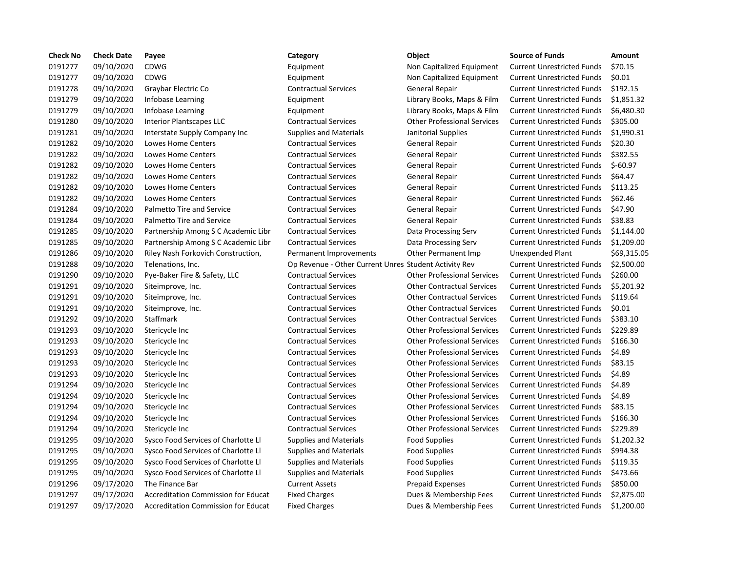| <b>Check No</b> | <b>Check Date</b> | Payee                                      | Category                                              | Object                             | <b>Source of Funds</b>            | <b>Amount</b> |
|-----------------|-------------------|--------------------------------------------|-------------------------------------------------------|------------------------------------|-----------------------------------|---------------|
| 0191277         | 09/10/2020        | <b>CDWG</b>                                | Equipment                                             | Non Capitalized Equipment          | <b>Current Unrestricted Funds</b> | \$70.15       |
| 0191277         | 09/10/2020        | <b>CDWG</b>                                | Equipment                                             | Non Capitalized Equipment          | <b>Current Unrestricted Funds</b> | \$0.01        |
| 0191278         | 09/10/2020        | Graybar Electric Co                        | <b>Contractual Services</b>                           | General Repair                     | <b>Current Unrestricted Funds</b> | \$192.15      |
| 0191279         | 09/10/2020        | Infobase Learning                          | Equipment                                             | Library Books, Maps & Film         | <b>Current Unrestricted Funds</b> | \$1,851.32    |
| 0191279         | 09/10/2020        | Infobase Learning                          | Equipment                                             | Library Books, Maps & Film         | <b>Current Unrestricted Funds</b> | \$6,480.30    |
| 0191280         | 09/10/2020        | Interior Plantscapes LLC                   | <b>Contractual Services</b>                           | <b>Other Professional Services</b> | <b>Current Unrestricted Funds</b> | \$305.00      |
| 0191281         | 09/10/2020        | Interstate Supply Company Inc.             | <b>Supplies and Materials</b>                         | Janitorial Supplies                | <b>Current Unrestricted Funds</b> | \$1,990.31    |
| 0191282         | 09/10/2020        | Lowes Home Centers                         | <b>Contractual Services</b>                           | <b>General Repair</b>              | <b>Current Unrestricted Funds</b> | \$20.30       |
| 0191282         | 09/10/2020        | <b>Lowes Home Centers</b>                  | <b>Contractual Services</b>                           | <b>General Repair</b>              | <b>Current Unrestricted Funds</b> | \$382.55      |
| 0191282         | 09/10/2020        | Lowes Home Centers                         | <b>Contractual Services</b>                           | General Repair                     | <b>Current Unrestricted Funds</b> | $$-60.97$     |
| 0191282         | 09/10/2020        | Lowes Home Centers                         | <b>Contractual Services</b>                           | <b>General Repair</b>              | <b>Current Unrestricted Funds</b> | \$64.47       |
| 0191282         | 09/10/2020        | Lowes Home Centers                         | <b>Contractual Services</b>                           | General Repair                     | <b>Current Unrestricted Funds</b> | \$113.25      |
| 0191282         | 09/10/2020        | Lowes Home Centers                         | <b>Contractual Services</b>                           | General Repair                     | <b>Current Unrestricted Funds</b> | \$62.46       |
| 0191284         | 09/10/2020        | Palmetto Tire and Service                  | <b>Contractual Services</b>                           | General Repair                     | <b>Current Unrestricted Funds</b> | \$47.90       |
| 0191284         | 09/10/2020        | Palmetto Tire and Service                  | <b>Contractual Services</b>                           | <b>General Repair</b>              | <b>Current Unrestricted Funds</b> | \$38.83       |
| 0191285         | 09/10/2020        | Partnership Among S C Academic Libr        | <b>Contractual Services</b>                           | Data Processing Serv               | <b>Current Unrestricted Funds</b> | \$1,144.00    |
| 0191285         | 09/10/2020        | Partnership Among S C Academic Libr        | <b>Contractual Services</b>                           | Data Processing Serv               | <b>Current Unrestricted Funds</b> | \$1,209.00    |
| 0191286         | 09/10/2020        | Riley Nash Forkovich Construction,         | Permanent Improvements                                | Other Permanent Imp                | Unexpended Plant                  | \$69,315.05   |
| 0191288         | 09/10/2020        | Telenations, Inc.                          | Op Revenue - Other Current Unres Student Activity Rev |                                    | <b>Current Unrestricted Funds</b> | \$2,500.00    |
| 0191290         | 09/10/2020        | Pye-Baker Fire & Safety, LLC               | <b>Contractual Services</b>                           | <b>Other Professional Services</b> | <b>Current Unrestricted Funds</b> | \$260.00      |
| 0191291         | 09/10/2020        | Siteimprove, Inc.                          | <b>Contractual Services</b>                           | <b>Other Contractual Services</b>  | <b>Current Unrestricted Funds</b> | \$5,201.92    |
| 0191291         | 09/10/2020        | Siteimprove, Inc.                          | <b>Contractual Services</b>                           | <b>Other Contractual Services</b>  | <b>Current Unrestricted Funds</b> | \$119.64      |
| 0191291         | 09/10/2020        | Siteimprove, Inc.                          | <b>Contractual Services</b>                           | <b>Other Contractual Services</b>  | <b>Current Unrestricted Funds</b> | \$0.01        |
| 0191292         | 09/10/2020        | Staffmark                                  | <b>Contractual Services</b>                           | <b>Other Contractual Services</b>  | <b>Current Unrestricted Funds</b> | \$383.10      |
| 0191293         | 09/10/2020        | Stericycle Inc                             | <b>Contractual Services</b>                           | <b>Other Professional Services</b> | <b>Current Unrestricted Funds</b> | \$229.89      |
| 0191293         | 09/10/2020        | Stericycle Inc                             | <b>Contractual Services</b>                           | <b>Other Professional Services</b> | <b>Current Unrestricted Funds</b> | \$166.30      |
| 0191293         | 09/10/2020        | Stericycle Inc                             | <b>Contractual Services</b>                           | <b>Other Professional Services</b> | <b>Current Unrestricted Funds</b> | \$4.89        |
| 0191293         | 09/10/2020        | Stericycle Inc                             | <b>Contractual Services</b>                           | <b>Other Professional Services</b> | <b>Current Unrestricted Funds</b> | \$83.15       |
| 0191293         | 09/10/2020        | Stericycle Inc                             | <b>Contractual Services</b>                           | <b>Other Professional Services</b> | <b>Current Unrestricted Funds</b> | \$4.89        |
| 0191294         | 09/10/2020        | Stericycle Inc                             | <b>Contractual Services</b>                           | <b>Other Professional Services</b> | <b>Current Unrestricted Funds</b> | \$4.89        |
| 0191294         | 09/10/2020        | Stericycle Inc                             | <b>Contractual Services</b>                           | <b>Other Professional Services</b> | <b>Current Unrestricted Funds</b> | \$4.89        |
| 0191294         | 09/10/2020        | Stericycle Inc                             | <b>Contractual Services</b>                           | <b>Other Professional Services</b> | <b>Current Unrestricted Funds</b> | \$83.15       |
| 0191294         | 09/10/2020        | Stericycle Inc                             | <b>Contractual Services</b>                           | <b>Other Professional Services</b> | <b>Current Unrestricted Funds</b> | \$166.30      |
| 0191294         | 09/10/2020        | Stericycle Inc                             | <b>Contractual Services</b>                           | <b>Other Professional Services</b> | <b>Current Unrestricted Funds</b> | \$229.89      |
| 0191295         | 09/10/2020        | Sysco Food Services of Charlotte Ll        | <b>Supplies and Materials</b>                         | <b>Food Supplies</b>               | <b>Current Unrestricted Funds</b> | \$1,202.32    |
| 0191295         | 09/10/2020        | Sysco Food Services of Charlotte Ll        | <b>Supplies and Materials</b>                         | <b>Food Supplies</b>               | <b>Current Unrestricted Funds</b> | \$994.38      |
| 0191295         | 09/10/2020        | Sysco Food Services of Charlotte Ll        | <b>Supplies and Materials</b>                         | <b>Food Supplies</b>               | <b>Current Unrestricted Funds</b> | \$119.35      |
| 0191295         | 09/10/2020        | Sysco Food Services of Charlotte Ll        | <b>Supplies and Materials</b>                         | <b>Food Supplies</b>               | <b>Current Unrestricted Funds</b> | \$473.66      |
| 0191296         | 09/17/2020        | The Finance Bar                            | <b>Current Assets</b>                                 | <b>Prepaid Expenses</b>            | <b>Current Unrestricted Funds</b> | \$850.00      |
| 0191297         | 09/17/2020        | <b>Accreditation Commission for Educat</b> | <b>Fixed Charges</b>                                  | Dues & Membership Fees             | <b>Current Unrestricted Funds</b> | \$2,875.00    |
| 0191297         | 09/17/2020        | <b>Accreditation Commission for Educat</b> | <b>Fixed Charges</b>                                  | Dues & Membership Fees             | <b>Current Unrestricted Funds</b> | \$1,200.00    |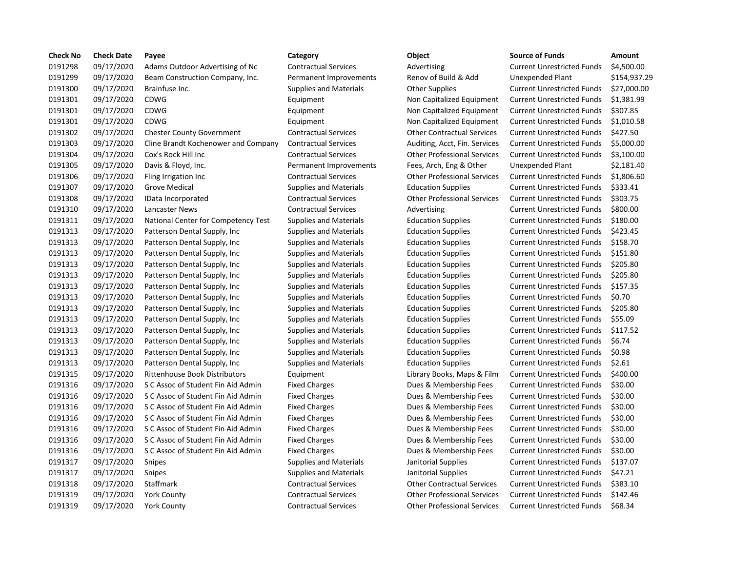| <b>Check No</b> | <b>Check Date</b> | Payee                                | Category                      | Object                             | <b>Source of Funds</b>            | Amount    |
|-----------------|-------------------|--------------------------------------|-------------------------------|------------------------------------|-----------------------------------|-----------|
| 0191298         | 09/17/2020        | Adams Outdoor Advertising of Nc      | <b>Contractual Services</b>   | Advertising                        | <b>Current Unrestricted Funds</b> | \$4,500.0 |
| 0191299         | 09/17/2020        | Beam Construction Company, Inc.      | Permanent Improvements        | Renov of Build & Add               | Unexpended Plant                  | \$154,93  |
| 0191300         | 09/17/2020        | Brainfuse Inc.                       | Supplies and Materials        | <b>Other Supplies</b>              | <b>Current Unrestricted Funds</b> | \$27,000  |
| 0191301         | 09/17/2020        | <b>CDWG</b>                          | Equipment                     | Non Capitalized Equipment          | <b>Current Unrestricted Funds</b> | \$1,381.9 |
| 0191301         | 09/17/2020        | <b>CDWG</b>                          | Equipment                     | Non Capitalized Equipment          | <b>Current Unrestricted Funds</b> | \$307.85  |
| 0191301         | 09/17/2020        | <b>CDWG</b>                          | Equipment                     | Non Capitalized Equipment          | <b>Current Unrestricted Funds</b> | \$1,010.5 |
| 0191302         | 09/17/2020        | <b>Chester County Government</b>     | <b>Contractual Services</b>   | <b>Other Contractual Services</b>  | <b>Current Unrestricted Funds</b> | \$427.50  |
| 0191303         | 09/17/2020        | Cline Brandt Kochenower and Company  | <b>Contractual Services</b>   | Auditing, Acct, Fin. Services      | <b>Current Unrestricted Funds</b> | \$5,000.0 |
| 0191304         | 09/17/2020        | Cox's Rock Hill Inc                  | <b>Contractual Services</b>   | <b>Other Professional Services</b> | <b>Current Unrestricted Funds</b> | \$3,100.0 |
| 0191305         | 09/17/2020        | Davis & Floyd, Inc.                  | Permanent Improvements        | Fees, Arch, Eng & Other            | Unexpended Plant                  | \$2,181.4 |
| 0191306         | 09/17/2020        | Fling Irrigation Inc                 | <b>Contractual Services</b>   | <b>Other Professional Services</b> | <b>Current Unrestricted Funds</b> | \$1,806.6 |
| 0191307         | 09/17/2020        | <b>Grove Medical</b>                 | <b>Supplies and Materials</b> | <b>Education Supplies</b>          | <b>Current Unrestricted Funds</b> | \$333.41  |
| 0191308         | 09/17/2020        | IData Incorporated                   | <b>Contractual Services</b>   | <b>Other Professional Services</b> | <b>Current Unrestricted Funds</b> | \$303.75  |
| 0191310         | 09/17/2020        | Lancaster News                       | <b>Contractual Services</b>   | Advertising                        | <b>Current Unrestricted Funds</b> | \$800.00  |
| 0191311         | 09/17/2020        | National Center for Competency Test  | <b>Supplies and Materials</b> | <b>Education Supplies</b>          | <b>Current Unrestricted Funds</b> | \$180.00  |
| 0191313         | 09/17/2020        | Patterson Dental Supply, Inc.        | Supplies and Materials        | <b>Education Supplies</b>          | <b>Current Unrestricted Funds</b> | \$423.45  |
| 0191313         | 09/17/2020        | Patterson Dental Supply, Inc.        | <b>Supplies and Materials</b> | <b>Education Supplies</b>          | <b>Current Unrestricted Funds</b> | \$158.70  |
| 0191313         | 09/17/2020        | Patterson Dental Supply, Inc.        | <b>Supplies and Materials</b> | <b>Education Supplies</b>          | <b>Current Unrestricted Funds</b> | \$151.80  |
| 0191313         | 09/17/2020        | Patterson Dental Supply, Inc.        | Supplies and Materials        | <b>Education Supplies</b>          | <b>Current Unrestricted Funds</b> | \$205.80  |
| 0191313         | 09/17/2020        | Patterson Dental Supply, Inc         | <b>Supplies and Materials</b> | <b>Education Supplies</b>          | <b>Current Unrestricted Funds</b> | \$205.80  |
| 0191313         | 09/17/2020        | Patterson Dental Supply, Inc.        | <b>Supplies and Materials</b> | <b>Education Supplies</b>          | <b>Current Unrestricted Funds</b> | \$157.35  |
| 0191313         | 09/17/2020        | Patterson Dental Supply, Inc.        | <b>Supplies and Materials</b> | <b>Education Supplies</b>          | <b>Current Unrestricted Funds</b> | \$0.70    |
| 0191313         | 09/17/2020        | Patterson Dental Supply, Inc         | <b>Supplies and Materials</b> | <b>Education Supplies</b>          | <b>Current Unrestricted Funds</b> | \$205.80  |
| 0191313         | 09/17/2020        | Patterson Dental Supply, Inc         | <b>Supplies and Materials</b> | <b>Education Supplies</b>          | <b>Current Unrestricted Funds</b> | \$55.09   |
| 0191313         | 09/17/2020        | Patterson Dental Supply, Inc.        | <b>Supplies and Materials</b> | <b>Education Supplies</b>          | <b>Current Unrestricted Funds</b> | \$117.52  |
| 0191313         | 09/17/2020        | Patterson Dental Supply, Inc.        | <b>Supplies and Materials</b> | <b>Education Supplies</b>          | <b>Current Unrestricted Funds</b> | \$6.74    |
| 0191313         | 09/17/2020        | Patterson Dental Supply, Inc.        | <b>Supplies and Materials</b> | <b>Education Supplies</b>          | <b>Current Unrestricted Funds</b> | \$0.98    |
| 0191313         | 09/17/2020        | Patterson Dental Supply, Inc.        | <b>Supplies and Materials</b> | <b>Education Supplies</b>          | <b>Current Unrestricted Funds</b> | \$2.61    |
| 0191315         | 09/17/2020        | <b>Rittenhouse Book Distributors</b> | Equipment                     | Library Books, Maps & Film         | <b>Current Unrestricted Funds</b> | \$400.00  |
| 0191316         | 09/17/2020        | S C Assoc of Student Fin Aid Admin   | <b>Fixed Charges</b>          | Dues & Membership Fees             | <b>Current Unrestricted Funds</b> | \$30.00   |
| 0191316         | 09/17/2020        | S C Assoc of Student Fin Aid Admin   | <b>Fixed Charges</b>          | Dues & Membership Fees             | <b>Current Unrestricted Funds</b> | \$30.00   |
| 0191316         | 09/17/2020        | S C Assoc of Student Fin Aid Admin   | <b>Fixed Charges</b>          | Dues & Membership Fees             | <b>Current Unrestricted Funds</b> | \$30.00   |
| 0191316         | 09/17/2020        | S C Assoc of Student Fin Aid Admin   | <b>Fixed Charges</b>          | Dues & Membership Fees             | <b>Current Unrestricted Funds</b> | \$30.00   |
| 0191316         | 09/17/2020        | S C Assoc of Student Fin Aid Admin   | <b>Fixed Charges</b>          | Dues & Membership Fees             | <b>Current Unrestricted Funds</b> | \$30.00   |
| 0191316         | 09/17/2020        | S C Assoc of Student Fin Aid Admin   | <b>Fixed Charges</b>          | Dues & Membership Fees             | <b>Current Unrestricted Funds</b> | \$30.00   |
| 0191316         | 09/17/2020        | S C Assoc of Student Fin Aid Admin   | <b>Fixed Charges</b>          | Dues & Membership Fees             | <b>Current Unrestricted Funds</b> | \$30.00   |
| 0191317         | 09/17/2020        | Snipes                               | <b>Supplies and Materials</b> | Janitorial Supplies                | <b>Current Unrestricted Funds</b> | \$137.07  |
| 0191317         | 09/17/2020        | Snipes                               | Supplies and Materials        | Janitorial Supplies                | <b>Current Unrestricted Funds</b> | \$47.21   |
| 0191318         | 09/17/2020        | <b>Staffmark</b>                     | <b>Contractual Services</b>   | <b>Other Contractual Services</b>  | <b>Current Unrestricted Funds</b> | \$383.10  |
| 0191319         | 09/17/2020        | <b>York County</b>                   | <b>Contractual Services</b>   | <b>Other Professional Services</b> | <b>Current Unrestricted Funds</b> | \$142.46  |
| 0191319         | 09/17/2020        | <b>York County</b>                   | <b>Contractual Services</b>   | <b>Other Professional Services</b> | <b>Current Unrestricted Funds</b> | \$68.34   |
|                 |                   |                                      |                               |                                    |                                   |           |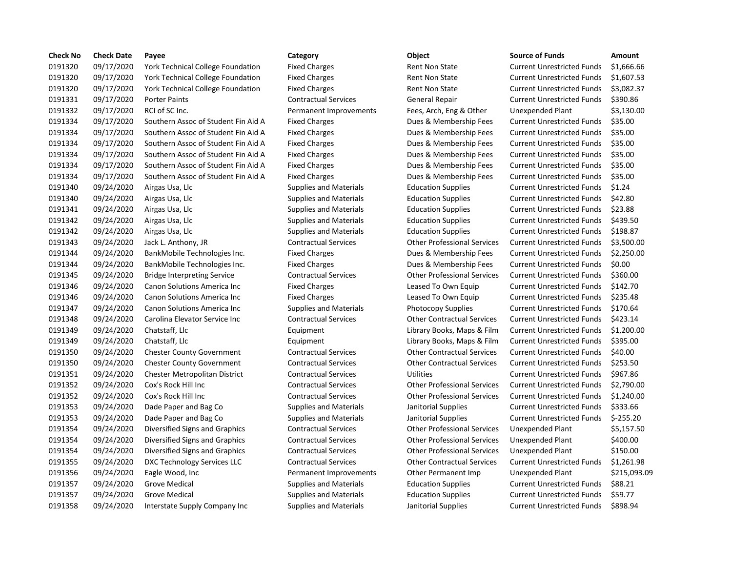| <b>Check No</b> | <b>Check Date</b> | Payee                                    | Category                      | Object                             | <b>Source of Funds</b>            | Amount     |
|-----------------|-------------------|------------------------------------------|-------------------------------|------------------------------------|-----------------------------------|------------|
| 0191320         | 09/17/2020        | York Technical College Foundation        | <b>Fixed Charges</b>          | Rent Non State                     | <b>Current Unrestricted Funds</b> | \$1,666.6  |
| 0191320         | 09/17/2020        | <b>York Technical College Foundation</b> | <b>Fixed Charges</b>          | <b>Rent Non State</b>              | <b>Current Unrestricted Funds</b> | \$1,607.5  |
| 0191320         | 09/17/2020        | York Technical College Foundation        | <b>Fixed Charges</b>          | <b>Rent Non State</b>              | <b>Current Unrestricted Funds</b> | \$3,082.3  |
| 0191331         | 09/17/2020        | <b>Porter Paints</b>                     | <b>Contractual Services</b>   | General Repair                     | <b>Current Unrestricted Funds</b> | \$390.86   |
| 0191332         | 09/17/2020        | RCI of SC Inc.                           | Permanent Improvements        | Fees, Arch, Eng & Other            | Unexpended Plant                  | \$3,130.0  |
| 0191334         | 09/17/2020        | Southern Assoc of Student Fin Aid A      | <b>Fixed Charges</b>          | Dues & Membership Fees             | <b>Current Unrestricted Funds</b> | \$35.00    |
| 0191334         | 09/17/2020        | Southern Assoc of Student Fin Aid A      | <b>Fixed Charges</b>          | Dues & Membership Fees             | <b>Current Unrestricted Funds</b> | \$35.00    |
| 0191334         | 09/17/2020        | Southern Assoc of Student Fin Aid A      | <b>Fixed Charges</b>          | Dues & Membership Fees             | <b>Current Unrestricted Funds</b> | \$35.00    |
| 0191334         | 09/17/2020        | Southern Assoc of Student Fin Aid A      | <b>Fixed Charges</b>          | Dues & Membership Fees             | <b>Current Unrestricted Funds</b> | \$35.00    |
| 0191334         | 09/17/2020        | Southern Assoc of Student Fin Aid A      | <b>Fixed Charges</b>          | Dues & Membership Fees             | <b>Current Unrestricted Funds</b> | \$35.00    |
| 0191334         | 09/17/2020        | Southern Assoc of Student Fin Aid A      | <b>Fixed Charges</b>          | Dues & Membership Fees             | <b>Current Unrestricted Funds</b> | \$35.00    |
| 0191340         | 09/24/2020        | Airgas Usa, Llc                          | <b>Supplies and Materials</b> | <b>Education Supplies</b>          | <b>Current Unrestricted Funds</b> | \$1.24     |
| 0191340         | 09/24/2020        | Airgas Usa, Llc                          | <b>Supplies and Materials</b> | <b>Education Supplies</b>          | <b>Current Unrestricted Funds</b> | \$42.80    |
| 0191341         | 09/24/2020        | Airgas Usa, Llc                          | <b>Supplies and Materials</b> | <b>Education Supplies</b>          | <b>Current Unrestricted Funds</b> | \$23.88    |
| 0191342         | 09/24/2020        | Airgas Usa, Llc                          | <b>Supplies and Materials</b> | <b>Education Supplies</b>          | <b>Current Unrestricted Funds</b> | \$439.50   |
| 0191342         | 09/24/2020        | Airgas Usa, Llc                          | <b>Supplies and Materials</b> | <b>Education Supplies</b>          | <b>Current Unrestricted Funds</b> | \$198.87   |
| 0191343         | 09/24/2020        | Jack L. Anthony, JR                      | <b>Contractual Services</b>   | <b>Other Professional Services</b> | <b>Current Unrestricted Funds</b> | \$3,500.0  |
| 0191344         | 09/24/2020        | BankMobile Technologies Inc.             | <b>Fixed Charges</b>          | Dues & Membership Fees             | <b>Current Unrestricted Funds</b> | \$2,250.0  |
| 0191344         | 09/24/2020        | BankMobile Technologies Inc.             | <b>Fixed Charges</b>          | Dues & Membership Fees             | <b>Current Unrestricted Funds</b> | \$0.00     |
| 0191345         | 09/24/2020        | <b>Bridge Interpreting Service</b>       | <b>Contractual Services</b>   | <b>Other Professional Services</b> | <b>Current Unrestricted Funds</b> | \$360.00   |
| 0191346         | 09/24/2020        | Canon Solutions America Inc              | <b>Fixed Charges</b>          | Leased To Own Equip                | <b>Current Unrestricted Funds</b> | \$142.70   |
| 0191346         | 09/24/2020        | Canon Solutions America Inc              | <b>Fixed Charges</b>          | Leased To Own Equip                | <b>Current Unrestricted Funds</b> | \$235.48   |
| 0191347         | 09/24/2020        | Canon Solutions America Inc              | <b>Supplies and Materials</b> | Photocopy Supplies                 | <b>Current Unrestricted Funds</b> | \$170.64   |
| 0191348         | 09/24/2020        | Carolina Elevator Service Inc            | <b>Contractual Services</b>   | <b>Other Contractual Services</b>  | <b>Current Unrestricted Funds</b> | \$423.14   |
| 0191349         | 09/24/2020        | Chatstaff, Llc                           | Equipment                     | Library Books, Maps & Film         | <b>Current Unrestricted Funds</b> | \$1,200.0  |
| 0191349         | 09/24/2020        | Chatstaff, Llc                           | Equipment                     | Library Books, Maps & Film         | <b>Current Unrestricted Funds</b> | \$395.00   |
| 0191350         | 09/24/2020        | <b>Chester County Government</b>         | <b>Contractual Services</b>   | <b>Other Contractual Services</b>  | <b>Current Unrestricted Funds</b> | \$40.00    |
| 0191350         | 09/24/2020        | <b>Chester County Government</b>         | <b>Contractual Services</b>   | <b>Other Contractual Services</b>  | <b>Current Unrestricted Funds</b> | \$253.50   |
| 0191351         | 09/24/2020        | Chester Metropolitan District            | <b>Contractual Services</b>   | <b>Utilities</b>                   | <b>Current Unrestricted Funds</b> | \$967.86   |
| 0191352         | 09/24/2020        | Cox's Rock Hill Inc                      | <b>Contractual Services</b>   | <b>Other Professional Services</b> | <b>Current Unrestricted Funds</b> | \$2,790.0  |
| 0191352         | 09/24/2020        | Cox's Rock Hill Inc                      | <b>Contractual Services</b>   | <b>Other Professional Services</b> | <b>Current Unrestricted Funds</b> | \$1,240.0  |
| 0191353         | 09/24/2020        | Dade Paper and Bag Co                    | <b>Supplies and Materials</b> | Janitorial Supplies                | <b>Current Unrestricted Funds</b> | \$333.66   |
| 0191353         | 09/24/2020        | Dade Paper and Bag Co                    | <b>Supplies and Materials</b> | Janitorial Supplies                | <b>Current Unrestricted Funds</b> | $$-255.20$ |
| 0191354         | 09/24/2020        | Diversified Signs and Graphics           | <b>Contractual Services</b>   | <b>Other Professional Services</b> | <b>Unexpended Plant</b>           | \$5,157.5  |
| 0191354         | 09/24/2020        | Diversified Signs and Graphics           | <b>Contractual Services</b>   | <b>Other Professional Services</b> | Unexpended Plant                  | \$400.00   |
| 0191354         | 09/24/2020        | Diversified Signs and Graphics           | <b>Contractual Services</b>   | <b>Other Professional Services</b> | Unexpended Plant                  | \$150.00   |
| 0191355         | 09/24/2020        | DXC Technology Services LLC              | <b>Contractual Services</b>   | <b>Other Contractual Services</b>  | <b>Current Unrestricted Funds</b> | \$1,261.9  |
| 0191356         | 09/24/2020        | Eagle Wood, Inc.                         | Permanent Improvements        | Other Permanent Imp                | Unexpended Plant                  | \$215,09   |
| 0191357         | 09/24/2020        | <b>Grove Medical</b>                     | <b>Supplies and Materials</b> | <b>Education Supplies</b>          | <b>Current Unrestricted Funds</b> | \$88.21    |
| 0191357         | 09/24/2020        | <b>Grove Medical</b>                     | <b>Supplies and Materials</b> | <b>Education Supplies</b>          | <b>Current Unrestricted Funds</b> | \$59.77    |
| 0191358         | 09/24/2020        | Interstate Supply Company Inc            | <b>Supplies and Materials</b> | Janitorial Supplies                | <b>Current Unrestricted Funds</b> | \$898.94   |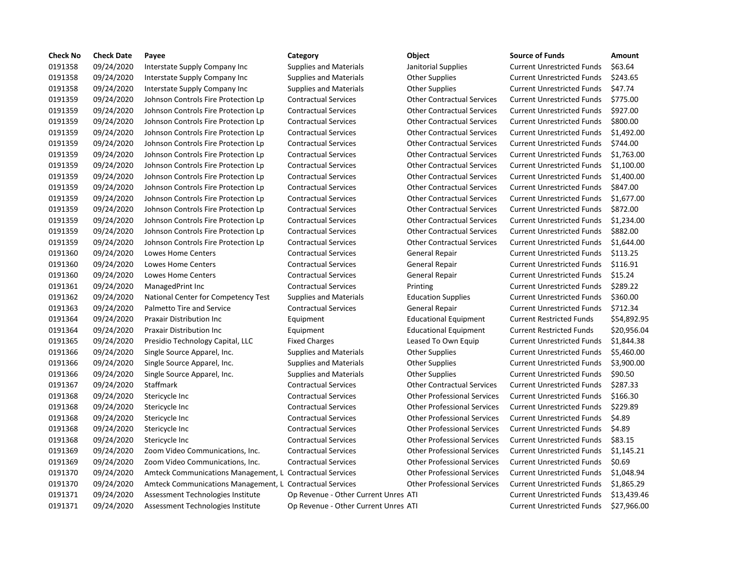| <b>Check No</b> | <b>Check Date</b> | Payee                                                    | Category                             | Object                             | <b>Source of Funds</b>            | Amount     |
|-----------------|-------------------|----------------------------------------------------------|--------------------------------------|------------------------------------|-----------------------------------|------------|
| 0191358         | 09/24/2020        | Interstate Supply Company Inc                            | Supplies and Materials               | Janitorial Supplies                | <b>Current Unrestricted Funds</b> | \$63.64    |
| 0191358         | 09/24/2020        | Interstate Supply Company Inc                            | Supplies and Materials               | <b>Other Supplies</b>              | <b>Current Unrestricted Funds</b> | \$243.65   |
| 0191358         | 09/24/2020        | Interstate Supply Company Inc.                           | Supplies and Materials               | <b>Other Supplies</b>              | <b>Current Unrestricted Funds</b> | \$47.74    |
| 0191359         | 09/24/2020        | Johnson Controls Fire Protection Lp                      | <b>Contractual Services</b>          | <b>Other Contractual Services</b>  | <b>Current Unrestricted Funds</b> | \$775.00   |
| 0191359         | 09/24/2020        | Johnson Controls Fire Protection Lp                      | <b>Contractual Services</b>          | <b>Other Contractual Services</b>  | <b>Current Unrestricted Funds</b> | \$927.00   |
| 0191359         | 09/24/2020        | Johnson Controls Fire Protection Lp                      | <b>Contractual Services</b>          | <b>Other Contractual Services</b>  | <b>Current Unrestricted Funds</b> | \$800.00   |
| 0191359         | 09/24/2020        | Johnson Controls Fire Protection Lp                      | <b>Contractual Services</b>          | <b>Other Contractual Services</b>  | <b>Current Unrestricted Funds</b> | \$1,492.0  |
| 0191359         | 09/24/2020        | Johnson Controls Fire Protection Lp                      | <b>Contractual Services</b>          | <b>Other Contractual Services</b>  | <b>Current Unrestricted Funds</b> | \$744.00   |
| 0191359         | 09/24/2020        | Johnson Controls Fire Protection Lp                      | <b>Contractual Services</b>          | <b>Other Contractual Services</b>  | <b>Current Unrestricted Funds</b> | \$1,763.0  |
| 0191359         | 09/24/2020        | Johnson Controls Fire Protection Lp                      | <b>Contractual Services</b>          | <b>Other Contractual Services</b>  | <b>Current Unrestricted Funds</b> | \$1,100.0  |
| 0191359         | 09/24/2020        | Johnson Controls Fire Protection Lp                      | <b>Contractual Services</b>          | <b>Other Contractual Services</b>  | <b>Current Unrestricted Funds</b> | \$1,400.0  |
| 0191359         | 09/24/2020        | Johnson Controls Fire Protection Lp                      | <b>Contractual Services</b>          | <b>Other Contractual Services</b>  | <b>Current Unrestricted Funds</b> | \$847.00   |
| 0191359         | 09/24/2020        | Johnson Controls Fire Protection Lp                      | <b>Contractual Services</b>          | <b>Other Contractual Services</b>  | <b>Current Unrestricted Funds</b> | $$1,677$ . |
| 0191359         | 09/24/2020        | Johnson Controls Fire Protection Lp                      | <b>Contractual Services</b>          | <b>Other Contractual Services</b>  | <b>Current Unrestricted Funds</b> | \$872.00   |
| 0191359         | 09/24/2020        | Johnson Controls Fire Protection Lp                      | <b>Contractual Services</b>          | <b>Other Contractual Services</b>  | <b>Current Unrestricted Funds</b> | \$1,234.0  |
| 0191359         | 09/24/2020        | Johnson Controls Fire Protection Lp                      | <b>Contractual Services</b>          | <b>Other Contractual Services</b>  | <b>Current Unrestricted Funds</b> | \$882.00   |
| 0191359         | 09/24/2020        | Johnson Controls Fire Protection Lp                      | <b>Contractual Services</b>          | <b>Other Contractual Services</b>  | <b>Current Unrestricted Funds</b> | \$1,644.0  |
| 0191360         | 09/24/2020        | Lowes Home Centers                                       | <b>Contractual Services</b>          | <b>General Repair</b>              | <b>Current Unrestricted Funds</b> | \$113.25   |
| 0191360         | 09/24/2020        | Lowes Home Centers                                       | <b>Contractual Services</b>          | <b>General Repair</b>              | <b>Current Unrestricted Funds</b> | \$116.91   |
| 0191360         | 09/24/2020        | Lowes Home Centers                                       | <b>Contractual Services</b>          | General Repair                     | <b>Current Unrestricted Funds</b> | \$15.24    |
| 0191361         | 09/24/2020        | ManagedPrint Inc                                         | <b>Contractual Services</b>          | Printing                           | <b>Current Unrestricted Funds</b> | \$289.22   |
| 0191362         | 09/24/2020        | National Center for Competency Test                      | <b>Supplies and Materials</b>        | <b>Education Supplies</b>          | <b>Current Unrestricted Funds</b> | \$360.00   |
| 0191363         | 09/24/2020        | Palmetto Tire and Service                                | <b>Contractual Services</b>          | <b>General Repair</b>              | <b>Current Unrestricted Funds</b> | \$712.34   |
| 0191364         | 09/24/2020        | <b>Praxair Distribution Inc</b>                          | Equipment                            | <b>Educational Equipment</b>       | <b>Current Restricted Funds</b>   | \$54,892   |
| 0191364         | 09/24/2020        | Praxair Distribution Inc                                 | Equipment                            | <b>Educational Equipment</b>       | <b>Current Restricted Funds</b>   | \$20,956   |
| 0191365         | 09/24/2020        | Presidio Technology Capital, LLC                         | <b>Fixed Charges</b>                 | Leased To Own Equip                | <b>Current Unrestricted Funds</b> | \$1,844.3  |
| 0191366         | 09/24/2020        | Single Source Apparel, Inc.                              | <b>Supplies and Materials</b>        | <b>Other Supplies</b>              | <b>Current Unrestricted Funds</b> | \$5,460.0  |
| 0191366         | 09/24/2020        | Single Source Apparel, Inc.                              | <b>Supplies and Materials</b>        | <b>Other Supplies</b>              | <b>Current Unrestricted Funds</b> | \$3,900.0  |
| 0191366         | 09/24/2020        | Single Source Apparel, Inc.                              | <b>Supplies and Materials</b>        | <b>Other Supplies</b>              | <b>Current Unrestricted Funds</b> | \$90.50    |
| 0191367         | 09/24/2020        | Staffmark                                                | <b>Contractual Services</b>          | <b>Other Contractual Services</b>  | <b>Current Unrestricted Funds</b> | \$287.33   |
| 0191368         | 09/24/2020        | Stericycle Inc                                           | <b>Contractual Services</b>          | <b>Other Professional Services</b> | <b>Current Unrestricted Funds</b> | \$166.30   |
| 0191368         | 09/24/2020        | Stericycle Inc                                           | <b>Contractual Services</b>          | <b>Other Professional Services</b> | <b>Current Unrestricted Funds</b> | \$229.89   |
| 0191368         | 09/24/2020        | Stericycle Inc                                           | <b>Contractual Services</b>          | <b>Other Professional Services</b> | <b>Current Unrestricted Funds</b> | \$4.89     |
| 0191368         | 09/24/2020        | Stericycle Inc                                           | <b>Contractual Services</b>          | <b>Other Professional Services</b> | <b>Current Unrestricted Funds</b> | \$4.89     |
| 0191368         | 09/24/2020        | Stericycle Inc                                           | <b>Contractual Services</b>          | <b>Other Professional Services</b> | <b>Current Unrestricted Funds</b> | \$83.15    |
| 0191369         | 09/24/2020        | Zoom Video Communications, Inc.                          | <b>Contractual Services</b>          | <b>Other Professional Services</b> | <b>Current Unrestricted Funds</b> | \$1,145.2  |
| 0191369         | 09/24/2020        | Zoom Video Communications, Inc.                          | <b>Contractual Services</b>          | <b>Other Professional Services</b> | <b>Current Unrestricted Funds</b> | \$0.69     |
| 0191370         | 09/24/2020        | Amteck Communications Management, L Contractual Services |                                      | <b>Other Professional Services</b> | <b>Current Unrestricted Funds</b> | \$1,048.9  |
| 0191370         | 09/24/2020        | Amteck Communications Management, L Contractual Services |                                      | <b>Other Professional Services</b> | <b>Current Unrestricted Funds</b> | \$1,865.2  |
| 0191371         | 09/24/2020        | Assessment Technologies Institute                        | Op Revenue - Other Current Unres ATI |                                    | <b>Current Unrestricted Funds</b> | \$13,439   |
| 0191371         | 09/24/2020        | Assessment Technologies Institute                        | Op Revenue - Other Current Unres ATI |                                    | <b>Current Unrestricted Funds</b> | \$27,966   |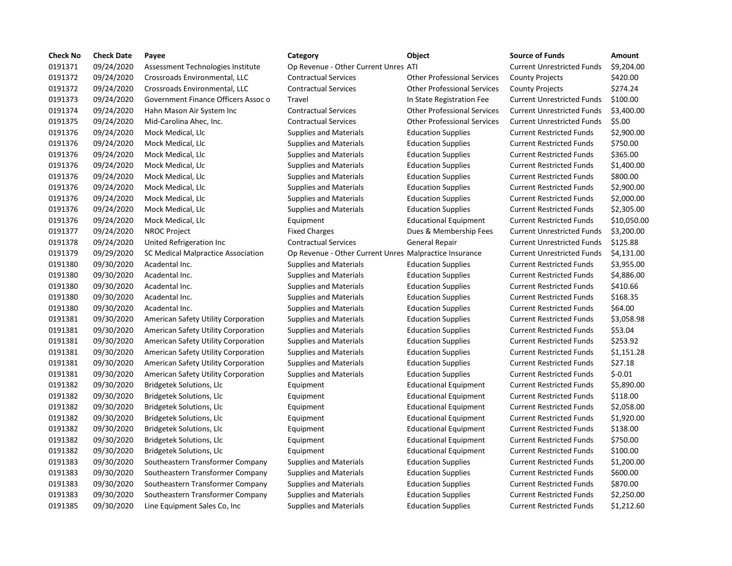| <b>Check No</b> | <b>Check Date</b> | Payee                               | Category                                               | Object                             | <b>Source of Funds</b>            | <b>Amount</b> |
|-----------------|-------------------|-------------------------------------|--------------------------------------------------------|------------------------------------|-----------------------------------|---------------|
| 0191371         | 09/24/2020        | Assessment Technologies Institute   | Op Revenue - Other Current Unres ATI                   |                                    | <b>Current Unrestricted Funds</b> | \$9,204.00    |
| 0191372         | 09/24/2020        | Crossroads Environmental, LLC       | <b>Contractual Services</b>                            | <b>Other Professional Services</b> | <b>County Projects</b>            | \$420.00      |
| 0191372         | 09/24/2020        | Crossroads Environmental, LLC       | <b>Contractual Services</b>                            | <b>Other Professional Services</b> | <b>County Projects</b>            | \$274.24      |
| 0191373         | 09/24/2020        | Government Finance Officers Assoc o | Travel                                                 | In State Registration Fee          | <b>Current Unrestricted Funds</b> | \$100.00      |
| 0191374         | 09/24/2020        | Hahn Mason Air System Inc           | <b>Contractual Services</b>                            | <b>Other Professional Services</b> | <b>Current Unrestricted Funds</b> | \$3,400.00    |
| 0191375         | 09/24/2020        | Mid-Carolina Ahec, Inc.             | <b>Contractual Services</b>                            | <b>Other Professional Services</b> | <b>Current Unrestricted Funds</b> | \$5.00        |
| 0191376         | 09/24/2020        | Mock Medical, Llc                   | <b>Supplies and Materials</b>                          | <b>Education Supplies</b>          | <b>Current Restricted Funds</b>   | \$2,900.00    |
| 0191376         | 09/24/2020        | Mock Medical, Llc                   | Supplies and Materials                                 | <b>Education Supplies</b>          | <b>Current Restricted Funds</b>   | \$750.00      |
| 0191376         | 09/24/2020        | Mock Medical, Llc                   | <b>Supplies and Materials</b>                          | <b>Education Supplies</b>          | <b>Current Restricted Funds</b>   | \$365.00      |
| 0191376         | 09/24/2020        | Mock Medical, Llc                   | <b>Supplies and Materials</b>                          | <b>Education Supplies</b>          | <b>Current Restricted Funds</b>   | \$1,400.00    |
| 0191376         | 09/24/2020        | Mock Medical, Llc                   | <b>Supplies and Materials</b>                          | <b>Education Supplies</b>          | <b>Current Restricted Funds</b>   | \$800.00      |
| 0191376         | 09/24/2020        | Mock Medical, Llc                   | <b>Supplies and Materials</b>                          | <b>Education Supplies</b>          | <b>Current Restricted Funds</b>   | \$2,900.00    |
| 0191376         | 09/24/2020        | Mock Medical, Llc                   | <b>Supplies and Materials</b>                          | <b>Education Supplies</b>          | <b>Current Restricted Funds</b>   | \$2,000.00    |
| 0191376         | 09/24/2020        | Mock Medical, Llc                   | <b>Supplies and Materials</b>                          | <b>Education Supplies</b>          | <b>Current Restricted Funds</b>   | \$2,305.00    |
| 0191376         | 09/24/2020        | Mock Medical, Llc                   | Equipment                                              | <b>Educational Equipment</b>       | <b>Current Restricted Funds</b>   | \$10,050.00   |
| 0191377         | 09/24/2020        | NROC Project                        | <b>Fixed Charges</b>                                   | Dues & Membership Fees             | <b>Current Unrestricted Funds</b> | \$3,200.00    |
| 0191378         | 09/24/2020        | United Refrigeration Inc            | <b>Contractual Services</b>                            | <b>General Repair</b>              | <b>Current Unrestricted Funds</b> | \$125.88      |
| 0191379         | 09/29/2020        | SC Medical Malpractice Association  | Op Revenue - Other Current Unres Malpractice Insurance |                                    | <b>Current Unrestricted Funds</b> | \$4,131.00    |
| 0191380         | 09/30/2020        | Acadental Inc.                      | <b>Supplies and Materials</b>                          | <b>Education Supplies</b>          | <b>Current Restricted Funds</b>   | \$3,955.00    |
| 0191380         | 09/30/2020        | Acadental Inc.                      | <b>Supplies and Materials</b>                          | <b>Education Supplies</b>          | <b>Current Restricted Funds</b>   | \$4,886.00    |
| 0191380         | 09/30/2020        | Acadental Inc.                      | <b>Supplies and Materials</b>                          | <b>Education Supplies</b>          | <b>Current Restricted Funds</b>   | \$410.66      |
| 0191380         | 09/30/2020        | Acadental Inc.                      | <b>Supplies and Materials</b>                          | <b>Education Supplies</b>          | <b>Current Restricted Funds</b>   | \$168.35      |
| 0191380         | 09/30/2020        | Acadental Inc.                      | <b>Supplies and Materials</b>                          | <b>Education Supplies</b>          | <b>Current Restricted Funds</b>   | \$64.00       |
| 0191381         | 09/30/2020        | American Safety Utility Corporation | <b>Supplies and Materials</b>                          | <b>Education Supplies</b>          | <b>Current Restricted Funds</b>   | \$3,058.98    |
| 0191381         | 09/30/2020        | American Safety Utility Corporation | <b>Supplies and Materials</b>                          | <b>Education Supplies</b>          | <b>Current Restricted Funds</b>   | \$53.04       |
| 0191381         | 09/30/2020        | American Safety Utility Corporation | <b>Supplies and Materials</b>                          | <b>Education Supplies</b>          | <b>Current Restricted Funds</b>   | \$253.92      |
| 0191381         | 09/30/2020        | American Safety Utility Corporation | <b>Supplies and Materials</b>                          | <b>Education Supplies</b>          | <b>Current Restricted Funds</b>   | \$1,151.28    |
| 0191381         | 09/30/2020        | American Safety Utility Corporation | <b>Supplies and Materials</b>                          | <b>Education Supplies</b>          | <b>Current Restricted Funds</b>   | \$27.18       |
| 0191381         | 09/30/2020        | American Safety Utility Corporation | <b>Supplies and Materials</b>                          | <b>Education Supplies</b>          | <b>Current Restricted Funds</b>   | $$-0.01$      |
| 0191382         | 09/30/2020        | Bridgetek Solutions, Llc            | Equipment                                              | <b>Educational Equipment</b>       | <b>Current Restricted Funds</b>   | \$5,890.00    |
| 0191382         | 09/30/2020        | Bridgetek Solutions, Llc            | Equipment                                              | <b>Educational Equipment</b>       | <b>Current Restricted Funds</b>   | \$118.00      |
| 0191382         | 09/30/2020        | Bridgetek Solutions, Llc            | Equipment                                              | <b>Educational Equipment</b>       | <b>Current Restricted Funds</b>   | \$2,058.00    |
| 0191382         | 09/30/2020        | Bridgetek Solutions, Llc            | Equipment                                              | <b>Educational Equipment</b>       | <b>Current Restricted Funds</b>   | \$1,920.00    |
| 0191382         | 09/30/2020        | Bridgetek Solutions, Llc            | Equipment                                              | <b>Educational Equipment</b>       | <b>Current Restricted Funds</b>   | \$138.00      |
| 0191382         | 09/30/2020        | Bridgetek Solutions, Llc            | Equipment                                              | <b>Educational Equipment</b>       | <b>Current Restricted Funds</b>   | \$750.00      |
| 0191382         | 09/30/2020        | Bridgetek Solutions, Llc            | Equipment                                              | <b>Educational Equipment</b>       | <b>Current Restricted Funds</b>   | \$100.00      |
| 0191383         | 09/30/2020        | Southeastern Transformer Company    | <b>Supplies and Materials</b>                          | <b>Education Supplies</b>          | <b>Current Restricted Funds</b>   | \$1,200.00    |
| 0191383         | 09/30/2020        | Southeastern Transformer Company    | <b>Supplies and Materials</b>                          | <b>Education Supplies</b>          | <b>Current Restricted Funds</b>   | \$600.00      |
| 0191383         | 09/30/2020        | Southeastern Transformer Company    | <b>Supplies and Materials</b>                          | <b>Education Supplies</b>          | <b>Current Restricted Funds</b>   | \$870.00      |
| 0191383         | 09/30/2020        | Southeastern Transformer Company    | <b>Supplies and Materials</b>                          | <b>Education Supplies</b>          | <b>Current Restricted Funds</b>   | \$2,250.00    |
| 0191385         | 09/30/2020        | Line Equipment Sales Co, Inc        | <b>Supplies and Materials</b>                          | <b>Education Supplies</b>          | <b>Current Restricted Funds</b>   | \$1,212.60    |